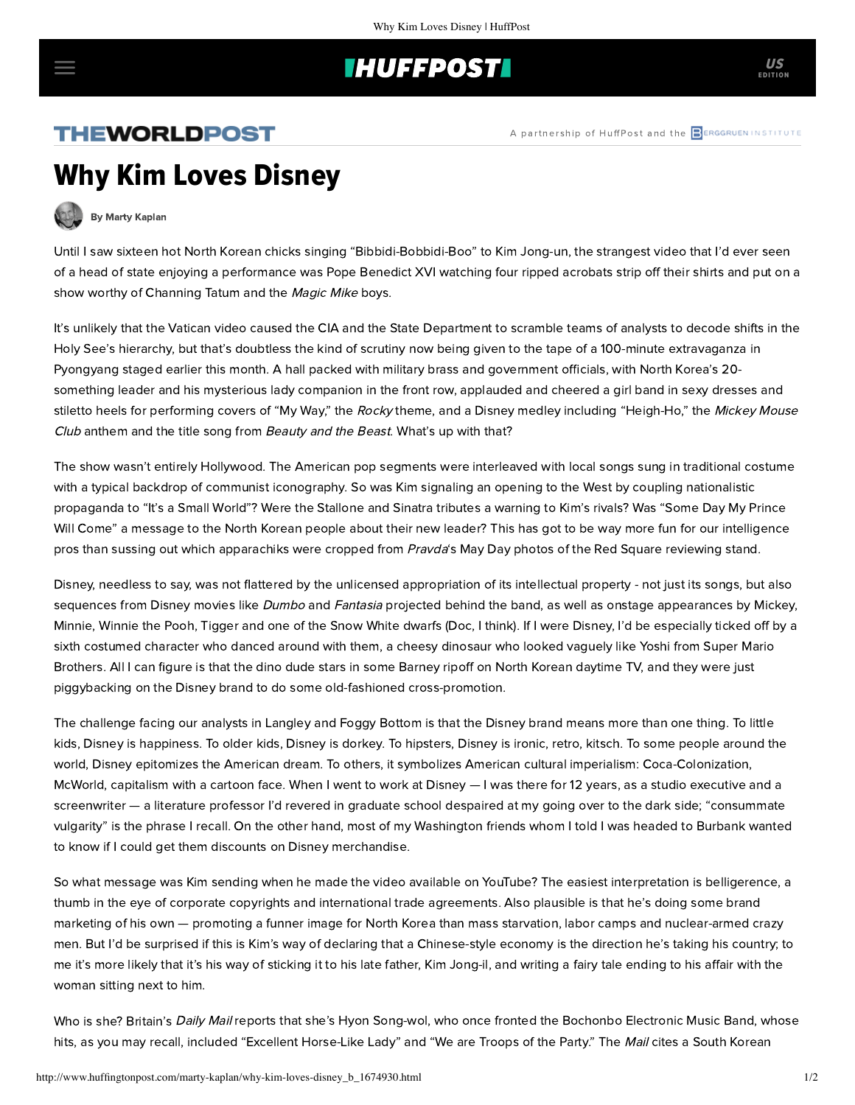# **THUFFPOST**

## THEWORLDPOST

A partnership of HuffPost and the **BERGGRUEN INSTITUTE** 

# Why Kim Loves Disney



#### [By Marty Kaplan](http://www.huffingtonpost.com/author/marty-kaplan)

Until I saw [sixteen hot North Korean chicks](http://www.youtube.com/watch?v=-d8jJGgoT4A&feature=related) singing "Bibbidi-Bobbidi-Boo" to Kim Jong-un, the strangest video that I'd ever seen of a head of state enjoying a performance was Pope Benedict XVI watching [four ripped acrobats strip](http://www.youtube.com/watch?v=-rbxov7CVi8) off their shirts and put on a show worthy of Channing Tatum and the Magic Mike boys.

It's unlikely that the Vatican video caused the CIA and the State Department to scramble teams of analysts to decode shifts in the Holy See's hierarchy, but that's doubtless the kind of scrutiny now being given to the tape of a 100-minute extravaganza in Pyongyang staged earlier this month. A hall packed with military brass and government officials, with North Korea's 20 something leader and his mysterious lady companion in the front row, applauded and cheered a girl band in sexy dresses and stiletto heels for performing covers of "My Way," the Rocky theme, and a Disney medley including "Heigh-Ho," the Mickey Mouse Club anthem and the title song from Beauty and the Beast. What's up with that?

The show wasn't entirely Hollywood. The American pop segments were interleaved with local songs sung in traditional costume with a typical backdrop of communist iconography. So was Kim signaling an opening to the West by coupling nationalistic propaganda to "It's a Small World"? Were the Stallone and Sinatra tributes a warning to Kim's rivals? Was "Some Day My Prince Will Come" a message to the North Korean people about their new leader? This has got to be way more fun for our intelligence pros than sussing out which apparachiks were cropped from Pravda's May Day photos of the Red Square reviewing stand.

Disney, needless to say, was not flattered by the unlicensed appropriation of its intellectual property - not just its songs, but also sequences from Disney movies like Dumbo and Fantasia projected behind the band, as well as onstage appearances by Mickey, Minnie, Winnie the Pooh, Tigger and one of the Snow White dwarfs (Doc, I think). If I were Disney, I'd be especially ticked off by a sixth costumed character who danced around with them, a cheesy dinosaur who looked vaguely like Yoshi from Super Mario Brothers. All I can figure is that the dino dude stars in some Barney ripoff on North Korean daytime TV, and they were just piggybacking on the Disney brand to do some old-fashioned cross-promotion.

The challenge facing our analysts in Langley and Foggy Bottom is that the Disney brand means more than one thing. To little kids, Disney is happiness. To older kids, Disney is dorkey. To hipsters, Disney is ironic, retro, kitsch. To some people around the world, Disney epitomizes the American dream. To others, it symbolizes American cultural imperialism: Coca-Colonization, McWorld, capitalism with a cartoon face. When I went to work at Disney — I was there for 12 years, as a studio executive and a screenwriter — a literature professor I'd revered in graduate school despaired at my going over to the dark side; "consummate vulgarity" is the phrase I recall. On the other hand, most of my Washington friends whom I told I was headed to Burbank wanted to know if I could get them discounts on Disney merchandise.

So what message was Kim sending when he made the video available on YouTube? The easiest interpretation is belligerence, a thumb in the eye of corporate copyrights and international trade agreements. Also plausible is that he's doing some brand marketing of his own — promoting a funner image for North Korea than mass starvation, labor camps and nuclear-armed crazy men. But I'd be surprised if this is Kim's way of declaring that a Chinese-style economy is the direction he's taking his country; to me it's more likely that it's his way of sticking it to his late father, Kim Jong-il, and writing a fairy tale ending to his affair with the woman sitting next to him.

Who is she? Britain's Daily Mail [reports](http://www.dailymail.co.uk/news/article-2171660/Kim-Jong-uns-mystery-woman-revealed-Dictators-girlfriend-previously-married-pop-star-Hyon-Song-wol.html?ito=feeds-newsxml) that she's Hyon Song-wol, who once fronted the Bochonbo Electronic Music Band, whose hits, as you may recall, included "Excellent Horse-Like Lady" and "We are Troops of the Party." The Mail cites a South Korean